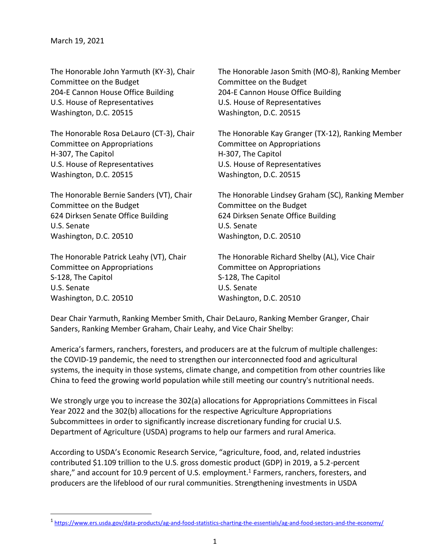| The Honorable John Yarmuth (KY-3), Chair | The Honorable Jason Smith (MO-8), Ranking Member  |
|------------------------------------------|---------------------------------------------------|
| Committee on the Budget                  | Committee on the Budget                           |
| 204-E Cannon House Office Building       | 204-E Cannon House Office Building                |
| U.S. House of Representatives            | U.S. House of Representatives                     |
| Washington, D.C. 20515                   | Washington, D.C. 20515                            |
| The Honorable Rosa DeLauro (CT-3), Chair | The Honorable Kay Granger (TX-12), Ranking Member |
| Committee on Appropriations              | Committee on Appropriations                       |
| H-307, The Capitol                       | H-307, The Capitol                                |
| U.S. House of Representatives            | U.S. House of Representatives                     |
| Washington, D.C. 20515                   | Washington, D.C. 20515                            |
| The Honorable Bernie Sanders (VT), Chair | The Honorable Lindsey Graham (SC), Ranking Member |
| Committee on the Budget                  | Committee on the Budget                           |
| 624 Dirksen Senate Office Building       | 624 Dirksen Senate Office Building                |
| U.S. Senate                              | U.S. Senate                                       |
| Washington, D.C. 20510                   | Washington, D.C. 20510                            |
| The Honorable Patrick Leahy (VT), Chair  | The Honorable Richard Shelby (AL), Vice Chair     |
| Committee on Appropriations              | Committee on Appropriations                       |
| S-128, The Capitol                       | S-128, The Capitol                                |
| U.S. Senate                              | U.S. Senate                                       |
| Washington, D.C. 20510                   | Washington, D.C. 20510                            |

Dear Chair Yarmuth, Ranking Member Smith, Chair DeLauro, Ranking Member Granger, Chair Sanders, Ranking Member Graham, Chair Leahy, and Vice Chair Shelby:

America's farmers, ranchers, foresters, and producers are at the fulcrum of multiple challenges: the COVID-19 pandemic, the need to strengthen our interconnected food and agricultural systems, the inequity in those systems, climate change, and competition from other countries like China to feed the growing world population while still meeting our country's nutritional needs.

We strongly urge you to increase the 302(a) allocations for Appropriations Committees in Fiscal Year 2022 and the 302(b) allocations for the respective Agriculture Appropriations Subcommittees in order to significantly increase discretionary funding for crucial U.S. Department of Agriculture (USDA) programs to help our farmers and rural America.

According to USDA's Economic Research Service, "agriculture, food, and, related industries contributed \$1.109 trillion to the U.S. gross domestic product (GDP) in 2019, a 5.2-percent share," and account for 10.9 percent of U.S. employment.<sup>1</sup> Farmers, ranchers, foresters, and producers are the lifeblood of our rural communities. Strengthening investments in USDA

<sup>&</sup>lt;sup>1</sup> <https://www.ers.usda.gov/data-products/ag-and-food-statistics-charting-the-essentials/ag-and-food-sectors-and-the-economy/>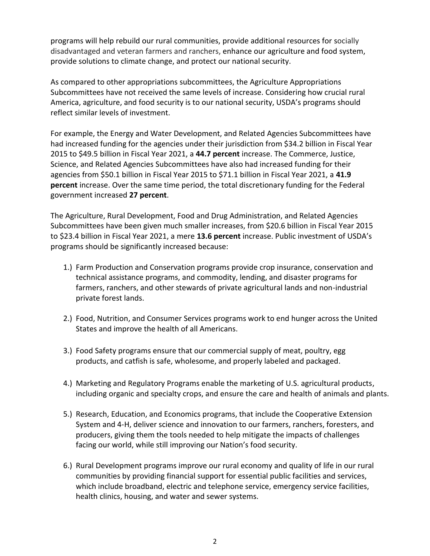programs will help rebuild our rural communities, provide additional resources for socially disadvantaged and veteran farmers and ranchers, enhance our agriculture and food system, provide solutions to climate change, and protect our national security.

As compared to other appropriations subcommittees, the Agriculture Appropriations Subcommittees have not received the same levels of increase. Considering how crucial rural America, agriculture, and food security is to our national security, USDA's programs should reflect similar levels of investment.

For example, the Energy and Water Development, and Related Agencies Subcommittees have had increased funding for the agencies under their jurisdiction from \$34.2 billion in Fiscal Year 2015 to \$49.5 billion in Fiscal Year 2021, a **44.7 percent** increase. The Commerce, Justice, Science, and Related Agencies Subcommittees have also had increased funding for their agencies from \$50.1 billion in Fiscal Year 2015 to \$71.1 billion in Fiscal Year 2021, a **41.9 percent** increase. Over the same time period, the total discretionary funding for the Federal government increased **27 percent**.

The Agriculture, Rural Development, Food and Drug Administration, and Related Agencies Subcommittees have been given much smaller increases, from \$20.6 billion in Fiscal Year 2015 to \$23.4 billion in Fiscal Year 2021, a mere **13.6 percent** increase. Public investment of USDA's programs should be significantly increased because:

- 1.) Farm Production and Conservation programs provide crop insurance, conservation and technical assistance programs, and commodity, lending, and disaster programs for farmers, ranchers, and other stewards of private agricultural lands and non-industrial private forest lands.
- 2.) Food, Nutrition, and Consumer Services programs work to end hunger across the United States and improve the health of all Americans.
- 3.) Food Safety programs ensure that our commercial supply of meat, poultry, egg products, and catfish is safe, wholesome, and properly labeled and packaged.
- 4.) Marketing and Regulatory Programs enable the marketing of U.S. agricultural products, including organic and specialty crops, and ensure the care and health of animals and plants.
- 5.) Research, Education, and Economics programs, that include the Cooperative Extension System and 4-H, deliver science and innovation to our farmers, ranchers, foresters, and producers, giving them the tools needed to help mitigate the impacts of challenges facing our world, while still improving our Nation's food security.
- 6.) Rural Development programs improve our rural economy and quality of life in our rural communities by providing financial support for essential public facilities and services, which include broadband, electric and telephone service, emergency service facilities, health clinics, housing, and water and sewer systems.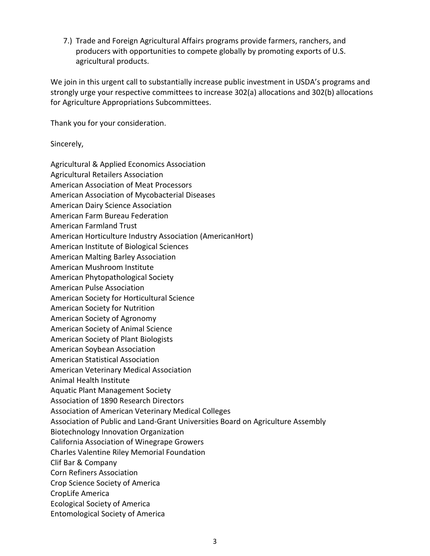7.) Trade and Foreign Agricultural Affairs programs provide farmers, ranchers, and producers with opportunities to compete globally by promoting exports of U.S. agricultural products.

We join in this urgent call to substantially increase public investment in USDA's programs and strongly urge your respective committees to increase 302(a) allocations and 302(b) allocations for Agriculture Appropriations Subcommittees.

Thank you for your consideration.

Sincerely,

Agricultural & Applied Economics Association Agricultural Retailers Association American Association of Meat Processors American Association of Mycobacterial Diseases American Dairy Science Association American Farm Bureau Federation American Farmland Trust American Horticulture Industry Association (AmericanHort) American Institute of Biological Sciences American Malting Barley Association American Mushroom Institute American Phytopathological Society American Pulse Association American Society for Horticultural Science American Society for Nutrition American Society of Agronomy American Society of Animal Science American Society of Plant Biologists American Soybean Association American Statistical Association American Veterinary Medical Association Animal Health Institute Aquatic Plant Management Society Association of 1890 Research Directors Association of American Veterinary Medical Colleges Association of Public and Land-Grant Universities Board on Agriculture Assembly Biotechnology Innovation Organization California Association of Winegrape Growers Charles Valentine Riley Memorial Foundation Clif Bar & Company Corn Refiners Association Crop Science Society of America CropLife America Ecological Society of America Entomological Society of America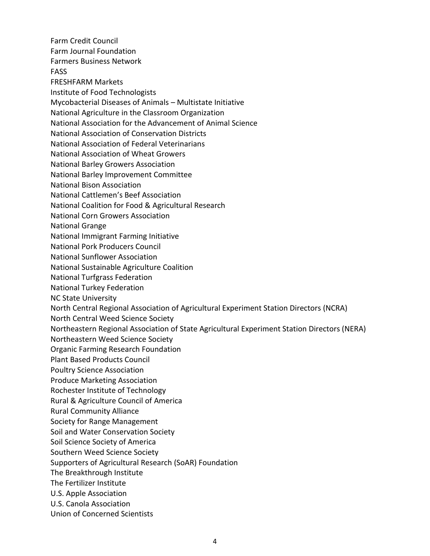Farm Credit Council Farm Journal Foundation Farmers Business Network FASS FRESHFARM Markets Institute of Food Technologists Mycobacterial Diseases of Animals – Multistate Initiative National Agriculture in the Classroom Organization National Association for the Advancement of Animal Science National Association of Conservation Districts National Association of Federal Veterinarians National Association of Wheat Growers National Barley Growers Association National Barley Improvement Committee National Bison Association National Cattlemen's Beef Association National Coalition for Food & Agricultural Research National Corn Growers Association National Grange National Immigrant Farming Initiative National Pork Producers Council National Sunflower Association National Sustainable Agriculture Coalition National Turfgrass Federation National Turkey Federation NC State University North Central Regional Association of Agricultural Experiment Station Directors (NCRA) North Central Weed Science Society Northeastern Regional Association of State Agricultural Experiment Station Directors (NERA) Northeastern Weed Science Society Organic Farming Research Foundation Plant Based Products Council Poultry Science Association Produce Marketing Association Rochester Institute of Technology Rural & Agriculture Council of America Rural Community Alliance Society for Range Management Soil and Water Conservation Society Soil Science Society of America Southern Weed Science Society Supporters of Agricultural Research (SoAR) Foundation The Breakthrough Institute The Fertilizer Institute U.S. Apple Association U.S. Canola Association Union of Concerned Scientists